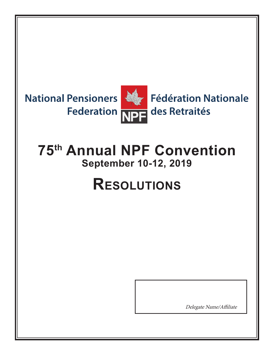

# **75th Annual NPF Convention September 10-12, 2019**

# **Resolutions**

Delegate Name/Affiliate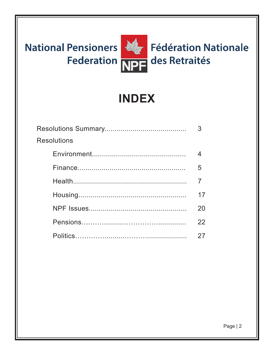

# **INDEX**

| <b>Resolutions</b> |    |
|--------------------|----|
|                    |    |
|                    | 5  |
|                    |    |
|                    | 17 |
|                    | 20 |
|                    | 22 |
|                    |    |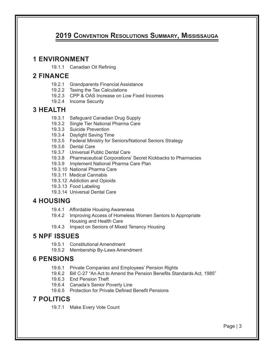#### **2019 Convention Resolutions Summary, Mississauga**

#### **1 ENVIRONMENT**

19.1.1 Canadian Oil Refining

#### **2 FINANCE**

- 19.2.1 Grandparents Financial Assistance
- 19.2.2 Taxing the Tax Calculations
- 19.2.3 CPP & OAS Increase on Low Fixed Incomes
- 19.2.4 Income Security

#### **3 HEALTH**

- 19.3.1 Safeguard Canadian Drug Supply
- 19.3.2 Single Tier National Pharma Care
- 19.3.3 Suicide Prevention
- 19.3.4 Daylight Saving Time
- 19.3.5 Federal Ministry for Seniors/National Seniors Strategy
- 19.3.6 Dental Care
- 19.3.7 Universal Public Dental Care
- 19.3.8 Pharmaceutical Corporations' Secret Kickbacks to Pharmacies
- 19.3.9 Implement National Pharma Care Plan
- 19.3.10 National Pharma Care
- 19.3.11 Medical Cannabis
- 19.3.12 Addiction and Opioids
- 19.3.13 Food Labeling
- 19.3.14 Universal Dental Care

#### **4 HOUSING**

- 19.4.1 Affordable Housing Awareness
- 19.4.2 Improving Access of Homeless Women Seniors to Appropriate Housing and Health Care
- 19.4.3 Impact on Seniors of Mixed Tenancy Housing

#### **5 NPF ISSUES**

- 19.5.1 Constitutional Amendment
- 19.5.2 Membership By-Laws Amendment

#### **6 PENSIONS**

- 19.6.1 Private Companies and Employees' Pension Rights
- 19.6.2 Bill C-27 "An Act to Amend the Pension Benefits Standards Act, 1985"
- 19.6.3 End Pension Theft
- 19.6.4 Canada's Senior Poverty Line
- 19.6.5 Protection for Private Defined Benefit Pensions

#### **7 POLITICS**

19.7.1 Make Every Vote Count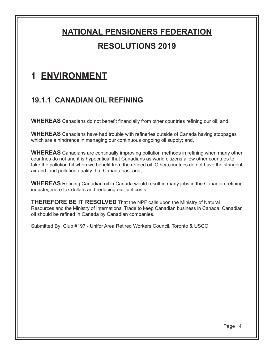### **1 ENVIRONMENT**

#### **19.1.1 CANADIAN OIL REFINING**

**WHEREAS** Canadians do not benefit financially from other countries refining our oil; and,

**WHEREAS** Canadians have had trouble with refineries outside of Canada having stoppages which are a hindrance in managing our continuous ongoing oil supply; and,

**WHEREAS** Canadians are continually improving pollution methods in refining when many other countries do not and it is hypocritical that Canadians as world citizens allow other countries to take the pollution hit when we benefit from the refined oil. Other countries do not have the stringent air and land pollution quality that Canada has; and,

**WHEREAS** Refining Canadian oil in Canada would result in many jobs in the Canadian refining industry, more tax dollars and reducing our fuel costs.

**THEREFORE BE IT RESOLVED** That the NPF calls upon the Ministry of Natural Resources and the Ministry of International Trade to keep Canadian business in Canada. Canadian oil should be refined in Canada by Canadian companies.

Submitted By: Club #197 - Unifor Area Retired Workers Council, Toronto & USCO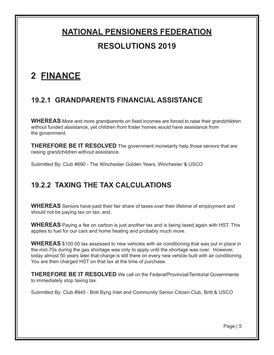### **2 FINANCE**

#### **19.2.1 GRANDPARENTS FINANCIAL ASSISTANCE**

**WHEREAS** More and more grandparents on fixed incomes are forced to raise their grandchildren without funded assistance, yet children from foster homes would have assistance from the government.

**THEREFORE BE IT RESOLVED** The government monetarily help those seniors that are raising grandchildren without assistance.

Submitted By: Club #690 - The Winchester Golden Years, Winchester & USCO

#### **19.2.2 TAXING THE TAX CALCULATIONS**

**WHEREAS** Seniors have paid their fair share of taxes over their lifetime of employment and should not be paying tax on tax; and,

**WHEREAS** Paying a fee on carbon is just another tax and is being taxed again with HST. This applies to fuel for our cars and home heating and probably much more.

**WHEREAS** \$100.00 tax assessed to new vehicles with air conditioning that was put in place in the mid-70s during the gas shortage was only to apply until the shortage was over. However, today almost 50 years later that charge is still there on every new vehicle built with air conditioning. You are then charged HST on that tax at the time of purchase.

**THEREFORE BE IT RESOLVED** We call on the Federal/Provincial/Territorial Governments to immediately stop taxing tax.

Submitted By: Club #945 - Britt Byng Inlet and Community Senior Citizen Club, Britt & USCO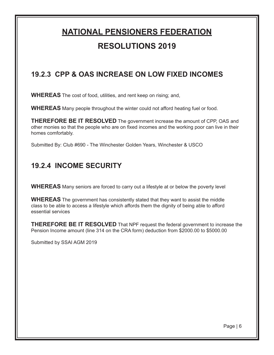#### **19.2.3 CPP & OAS INCREASE ON LOW FIXED INCOMES**

**WHEREAS** The cost of food, utilities, and rent keep on rising; and,

**WHEREAS** Many people throughout the winter could not afford heating fuel or food.

**THEREFORE BE IT RESOLVED** The government increase the amount of CPP, OAS and other monies so that the people who are on fixed incomes and the working poor can live in their homes comfortably.

Submitted By: Club #690 - The Winchester Golden Years, Winchester & USCO

#### **19.2.4 INCOME SECURITY**

**WHEREAS** Many seniors are forced to carry out a lifestyle at or below the poverty level

**WHEREAS** The government has consistently stated that they want to assist the middle class to be able to access a lifestyle which affords them the dignity of being able to afford essential services

**THEREFORE BE IT RESOLVED** That NPF request the federal government to increase the Pension Income amount (line 314 on the CRA form) deduction from \$2000.00 to \$5000.00

Submitted by SSAI AGM 2019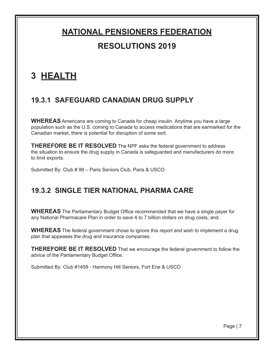### **3 HEALTH**

#### **19.3.1 SAFEGUARD CANADIAN DRUG SUPPLY**

**WHEREAS** Americans are coming to Canada for cheap insulin. Anytime you have a large population such as the U.S. coming to Canada to access medications that are earmarked for the Canadian market, there is potential for disruption of some sort.

**THEREFORE BE IT RESOLVED** The NPF asks the federal government to address the situation to ensure the drug supply in Canada is safeguarded and manufacturers do more to limit exports.

Submitted By: Club # 99 – Paris Seniors Club, Paris & USCO

#### **19.3.2 SINGLE TIER NATIONAL PHARMA CARE**

**WHEREAS** The Parliamentary Budget Office recommended that we have a single payer for any National Pharmacare Plan in order to save 4 to 7 billion dollars on drug costs; and,

**WHEREAS** The federal government chose to ignore this report and wish to implement a drug plan that appeases the drug and insurance companies.

**THEREFORE BE IT RESOLVED** That we encourage the federal government to follow the advice of the Parliamentary Budget Office.

Submitted By: Club #1459 - Harmony Hill Seniors, Fort Erie & USCO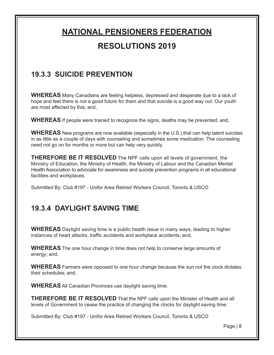#### **19.3.3 SUICIDE PREVENTION**

**WHEREAS** Many Canadians are feeling helpless, depressed and desperate due to a lack of hope and feel there is not a good future for them and that suicide is a good way out. Our youth are most affected by this; and,

**WHEREAS** If people were trained to recognize the signs, deaths may be prevented; and,

**WHEREAS** New programs are now available (especially in the U.S.) that can help latent suicides in as little as a couple of days with counseling and sometimes some medication. The counseling need not go on for months or more but can help very quickly.

**THEREFORE BE IT RESOLVED** The NPF calls upon all levels of government, the Ministry of Education, the Ministry of Health, the Ministry of Labour and the Canadian Mental Health Association to advocate for awareness and suicide prevention programs in all educational facilities and workplaces.

Submitted By: Club #197 - Unifor Area Retired Workers Council, Toronto & USCO

#### **19.3.4 DAYLIGHT SAVING TIME**

**WHEREAS** Daylight saving time is a public health issue in many ways, leading to higher instances of heart attacks, traffic accidents and workplace accidents; and,

**WHEREAS** The one hour change in time does not help to conserve large amounts of energy; and,

**WHEREAS** Farmers were opposed to one hour change because the sun not the clock dictates their schedules; and,

**WHEREAS** All Canadian Provinces use daylight saving time.

**THEREFORE BE IT RESOLVED** That the NPF calls upon the Minister of Health and all levels of Government to cease the practice of changing the clocks for daylight saving time.

Submitted By: Club #197 - Unifor Area Retired Workers Council, Toronto & USCO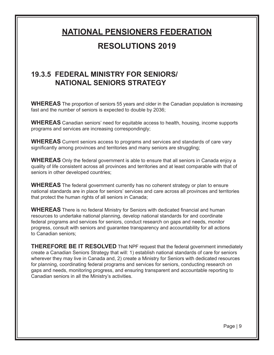## **NATIONAL PENSIONERS FEDERATION**

#### **RESOLUTIONS 2019**

#### **19.3.5 FEDERAL MINISTRY FOR SENIORS/ NATIONAL SENIORS STRATEGY**

**WHEREAS** The proportion of seniors 55 years and older in the Canadian population is increasing fast and the number of seniors is expected to double by 2036;

**WHEREAS** Canadian seniors' need for equitable access to health, housing, income supports programs and services are increasing correspondingly;

**WHEREAS** Current seniors access to programs and services and standards of care vary significantly among provinces and territories and many seniors are struggling;

**WHEREAS** Only the federal government is able to ensure that all seniors in Canada enjoy a quality of life consistent across all provinces and territories and at least comparable with that of seniors in other developed countries;

**WHEREAS** The federal government currently has no coherent strategy or plan to ensure national standards are in place for seniors' services and care across all provinces and territories that protect the human rights of all seniors in Canada;

**WHEREAS** There is no federal Ministry for Seniors with dedicated financial and human resources to undertake national planning, develop national standards for and coordinate federal programs and services for seniors, conduct research on gaps and needs, monitor progress, consult with seniors and guarantee transparency and accountability for all actions to Canadian seniors;

**THEREFORE BE IT RESOLVED** That NPF request that the federal government immediately create a Canadian Seniors Strategy that will: 1) establish national standards of care for seniors wherever they may live in Canada and, 2) create a Ministry for Seniors with dedicated resources for planning, coordinating federal programs and services for seniors, conducting research on gaps and needs, monitoring progress, and ensuring transparent and accountable reporting to Canadian seniors in all the Ministry's activities.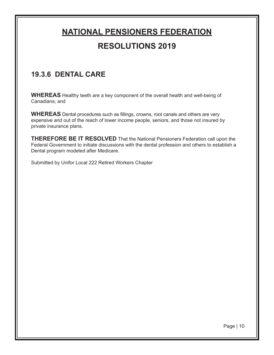#### **19.3.6 DENTAL CARE**

**WHEREAS** Healthy teeth are a key component of the overall health and well-being of Canadians; and

**WHEREAS** Dental procedures such as fillings, crowns, root canals and others are very expensive and out of the reach of lower income people, seniors, and those not insured by private insurance plans.

**THEREFORE BE IT RESOLVED** That the National Pensioners Federation call upon the Federal Government to initiate discussions with the dental profession and others to establish a Dental program modeled after Medicare.

Submitted by Unifor Local 222 Retired Workers Chapter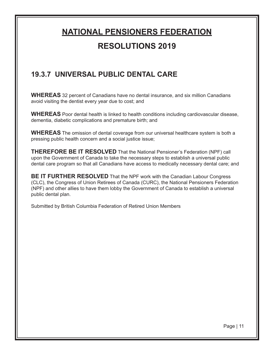#### **19.3.7 UNIVERSAL PUBLIC DENTAL CARE**

**WHEREAS** 32 percent of Canadians have no dental insurance, and six million Canadians avoid visiting the dentist every year due to cost; and

**WHEREAS** Poor dental health is linked to health conditions including cardiovascular disease, dementia, diabetic complications and premature birth; and

**WHEREAS** The omission of dental coverage from our universal healthcare system is both a pressing public health concern and a social justice issue;

**THEREFORE BE IT RESOLVED** That the National Pensioner's Federation (NPF) call upon the Government of Canada to take the necessary steps to establish a universal public dental care program so that all Canadians have access to medically necessary dental care; and

**BE IT FURTHER RESOLVED** That the NPF work with the Canadian Labour Congress (CLC), the Congress of Union Retirees of Canada (CURC), the National Pensioners Federation (NPF) and other allies to have them lobby the Government of Canada to establish a universal public dental plan.

Submitted by British Columbia Federation of Retired Union Members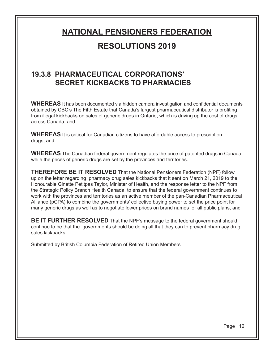#### **19.3.8 PHARMACEUTICAL CORPORATIONS' SECRET KICKBACKS TO PHARMACIES**

**WHEREAS** It has been documented via hidden camera investigation and confidential documents obtained by CBC's The Fifth Estate that Canada's largest pharmaceutical distributor is profiting from illegal kickbacks on sales of generic drugs in Ontario, which is driving up the cost of drugs across Canada, and

**WHEREAS** It is critical for Canadian citizens to have affordable access to prescription drugs, and

**WHEREAS** The Canadian federal government regulates the price of patented drugs in Canada, while the prices of generic drugs are set by the provinces and territories.

**THEREFORE BE IT RESOLVED** That the National Pensioners Federation (NPF) follow up on the letter regarding pharmacy drug sales kickbacks that it sent on March 21, 2019 to the Honourable Ginette Petitpas Taylor, Minister of Health, and the response letter to the NPF from the Strategic Policy Branch Health Canada, to ensure that the federal government continues to work with the provinces and territories as an active member of the pan-Canadian Pharmaceutical Alliance (pCPA) to combine the governments' collective buying power to set the price point for many generic drugs as well as to negotiate lower prices on brand names for all public plans, and

**BE IT FURTHER RESOLVED** That the NPF's message to the federal government should continue to be that the governments should be doing all that they can to prevent pharmacy drug sales kickbacks.

Submitted by British Columbia Federation of Retired Union Members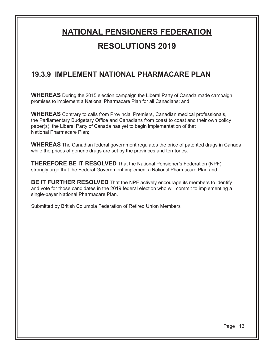#### **19.3.9 IMPLEMENT NATIONAL PHARMACARE PLAN**

**WHEREAS** During the 2015 election campaign the Liberal Party of Canada made campaign promises to implement a National Pharmacare Plan for all Canadians; and

**WHEREAS** Contrary to calls from Provincial Premiers, Canadian medical professionals, the Parliamentary Budgetary Office and Canadians from coast to coast and their own policy paper(s), the Liberal Party of Canada has yet to begin implementation of that National Pharmacare Plan;

**WHEREAS** The Canadian federal government regulates the price of patented drugs in Canada, while the prices of generic drugs are set by the provinces and territories.

**THEREFORE BE IT RESOLVED** That the National Pensioner's Federation (NPF) strongly urge that the Federal Government implement a National Pharmacare Plan and

**BE IT FURTHER RESOLVED** That the NPF actively encourage its members to identify and vote for those candidates in the 2019 federal election who will commit to implementing a single-payer National Pharmacare Plan.

Submitted by British Columbia Federation of Retired Union Members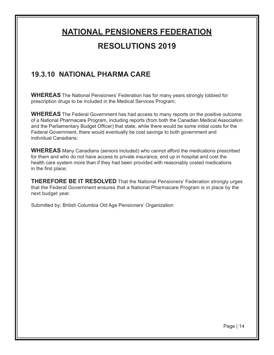#### **19.3.10 NATIONAL PHARMA CARE**

**WHEREAS** The National Pensioners' Federation has for many years strongly lobbied for prescription drugs to be included in the Medical Services Program;

**WHEREAS** The Federal Government has had access to many reports on the positive outcome of a National Pharmacare Program, including reports (from both the Canadian Medical Association and the Parliamentary Budget Officer) that state, while there would be some initial costs for the Federal Government, there would eventually be cost savings to both government and individual Canadians;

**WHEREAS** Many Canadians (seniors included) who cannot afford the medications prescribed for them and who do not have access to private insurance, end up in hospital and cost the health care system more than if they had been provided with reasonably costed medications in the first place;

**THEREFORE BE IT RESOLVED** That the National Pensioners' Federation strongly urges that the Federal Government ensures that a National Pharmacare Program is in place by the next budget year.

Submitted by; British Columbia Old Age Pensioners' Organization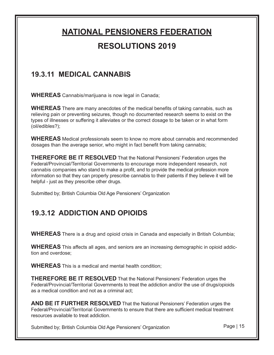#### **19.3.11 MEDICAL CANNABIS**

**WHEREAS** Cannabis/marijuana is now legal in Canada;

**WHEREAS** There are many anecdotes of the medical benefits of taking cannabis, such as relieving pain or preventing seizures, though no documented research seems to exist on the types of illnesses or suffering it alleviates or the correct dosage to be taken or in what form (oil/edibles?);

**WHEREAS** Medical professionals seem to know no more about cannabis and recommended dosages than the average senior, who might in fact benefit from taking cannabis;

**THEREFORE BE IT RESOLVED** That the National Pensioners' Federation urges the Federal/Provincial/Territorial Governments to encourage more independent research, not cannabis companies who stand to make a profit, and to provide the medical profession more information so that they can properly prescribe cannabis to their patients if they believe it will be helpful - just as they prescribe other drugs.

Submitted by; British Columbia Old Age Pensioners' Organization

### **19.3.12 ADDICTION AND OPIOIDS**

**WHEREAS** There is a drug and opioid crisis in Canada and especially in British Columbia;

**WHEREAS** This affects all ages, and seniors are an increasing demographic in opioid addiction and overdose;

**WHEREAS** This is a medical and mental health condition;

**THEREFORE BE IT RESOLVED** That the National Pensioners' Federation urges the Federal/Provincial/Territorial Governments to treat the addiction and/or the use of drugs/opioids as a medical condition and not as a criminal act;

**AND BE IT FURTHER RESOLVED** That the National Pensioners' Federation urges the Federal/Provincial/Territorial Governments to ensure that there are sufficient medical treatment resources available to treat addiction.

Submitted by; British Columbia Old Age Pensioners' Organization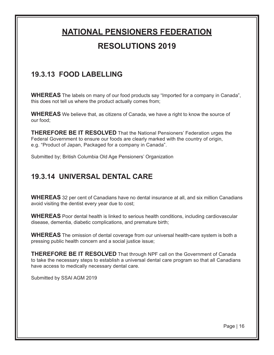#### **19.3.13 FOOD LABELLING**

**WHEREAS** The labels on many of our food products say "Imported for a company in Canada", this does not tell us where the product actually comes from;

**WHEREAS** We believe that, as citizens of Canada, we have a right to know the source of our food;

**THEREFORE BE IT RESOLVED** That the National Pensioners' Federation urges the Federal Government to ensure our foods are clearly marked with the country of origin, e.g. "Product of Japan, Packaged for a company in Canada".

Submitted by; British Columbia Old Age Pensioners' Organization

#### **19.3.14 UNIVERSAL DENTAL CARE**

**WHEREAS** 32 per cent of Canadians have no dental insurance at all, and six million Canadians avoid visiting the dentist every year due to cost;

**WHEREAS** Poor dental health is linked to serious health conditions, including cardiovascular disease, dementia, diabetic complications, and premature birth;

**WHEREAS** The omission of dental coverage from our universal health-care system is both a pressing public health concern and a social justice issue;

**THEREFORE BE IT RESOLVED** That through NPF call on the Government of Canada to take the necessary steps to establish a universal dental care program so that all Canadians have access to medically necessary dental care.

Submitted by SSAI AGM 2019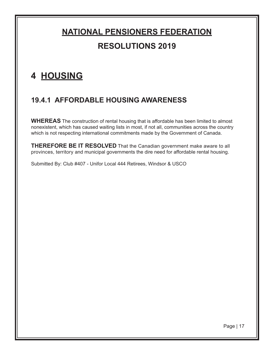### **4 HOUSING**

#### **19.4.1 AFFORDABLE HOUSING AWARENESS**

**WHEREAS** The construction of rental housing that is affordable has been limited to almost nonexistent, which has caused waiting lists in most, if not all, communities across the country which is not respecting international commitments made by the Government of Canada.

**THEREFORE BE IT RESOLVED** That the Canadian government make aware to all provinces, territory and municipal governments the dire need for affordable rental housing.

Submitted By: Club #407 - Unifor Local 444 Retirees, Windsor & USCO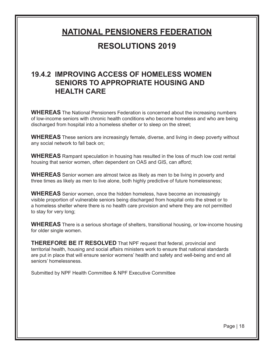#### **19.4.2 IMPROVING ACCESS OF HOMELESS WOMEN SENIORS TO APPROPRIATE HOUSING AND HEALTH CARE**

**WHEREAS** The National Pensioners Federation is concerned about the increasing numbers of low-income seniors with chronic health conditions who become homeless and who are being discharged from hospital into a homeless shelter or to sleep on the street;

**WHEREAS** These seniors are increasingly female, diverse, and living in deep poverty without any social network to fall back on;

**WHEREAS** Rampant speculation in housing has resulted in the loss of much low cost rental housing that senior women, often dependent on OAS and GIS, can afford;

**WHEREAS** Senior women are almost twice as likely as men to be living in poverty and three times as likely as men to live alone, both highly predictive of future homelessness;

**WHEREAS** Senior women, once the hidden homeless, have become an increasingly visible proportion of vulnerable seniors being discharged from hospital onto the street or to a homeless shelter where there is no health care provision and where they are not permitted to stay for very long;

**WHEREAS** There is a serious shortage of shelters, transitional housing, or low-income housing for older single women.

**THEREFORE BE IT RESOLVED** That NPF request that federal, provincial and territorial health, housing and social affairs ministers work to ensure that national standards are put in place that will ensure senior womens' health and safety and well-being and end all seniors' homelessness.

Submitted by NPF Health Committee & NPF Executive Committee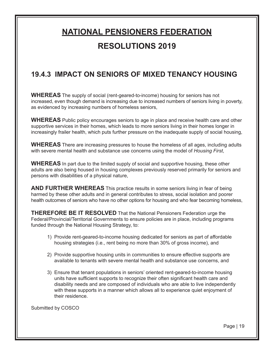#### **19.4.3 IMPACT ON SENIORS OF MIXED TENANCY HOUSING**

**WHEREAS** The supply of social (rent-geared-to-income) housing for seniors has not increased, even though demand is increasing due to increased numbers of seniors living in poverty, as evidenced by increasing numbers of homeless seniors,

**WHEREAS** Public policy encourages seniors to age in place and receive health care and other supportive services in their homes, which leads to more seniors living in their homes longer in increasingly frailer health, which puts further pressure on the inadequate supply of social housing,

**WHEREAS** There are increasing pressures to house the homeless of all ages, including adults with severe mental health and substance use concerns using the model of *Housing First*,

**WHEREAS** In part due to the limited supply of social and supportive housing, these other adults are also being housed in housing complexes previously reserved primarily for seniors and persons with disabilities of a physical nature,

**AND FURTHER WHEREAS** This practice results in some seniors living in fear of being harmed by these other adults and in general contributes to stress, social isolation and poorer health outcomes of seniors who have no other options for housing and who fear becoming homeless,

**THEREFORE BE IT RESOLVED** That the National Pensioners Federation urge the Federal/Provincial/Territorial Governments to ensure policies are in place, including programs funded through the National Housing Strategy, to:

- 1) Provide rent-geared-to-income housing dedicated for seniors as part of affordable housing strategies (i.e., rent being no more than 30% of gross income), and
- 2) Provide supportive housing units in communities to ensure effective supports are available to tenants with severe mental health and substance use concerns, and
- 3) Ensure that tenant populations in seniors' oriented rent-geared-to-income housing units have sufficient supports to recognize their often significant health care and disability needs and are composed of individuals who are able to live independently with these supports in a manner which allows all to experience quiet enjoyment of their residence.

Submitted by COSCO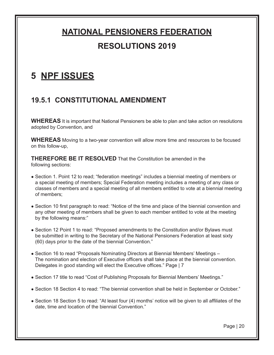### **5 NPF ISSUES**

#### **19.5.1 CONSTITUTIONAL AMENDMENT**

**WHEREAS** It is important that National Pensioners be able to plan and take action on resolutions adopted by Convention, and

**WHEREAS** Moving to a two-year convention will allow more time and resources to be focused on this follow-up,

**THEREFORE BE IT RESOLVED** That the Constitution be amended in the following sections:

- Section 1. Point 12 to read; "federation meetings" includes a biennial meeting of members or a special meeting of members; Special Federation meeting includes a meeting of any class or classes of members and a special meeting of all members entitled to vote at a biennial meeting of members;
- Section 10 first paragraph to read: "Notice of the time and place of the biennial convention and any other meeting of members shall be given to each member entitled to vote at the meeting by the following means:"
- Section 12 Point 1 to read: "Proposed amendments to the Constitution and/or Bylaws must be submitted in writing to the Secretary of the National Pensioners Federation at least sixty (60) days prior to the date of the biennial Convention."
- Section 16 to read "Proposals Nominating Directors at Biennial Members' Meetings The nomination and election of Executive officers shall take place at the biennial convention. Delegates in good standing will elect the Executive offices." Page | 7
- Section 17 title to read "Cost of Publishing Proposals for Biennial Members' Meetings."
- Section 18 Section 4 to read: "The biennial convention shall be held in September or October."
- Section 18 Section 5 to read: "At least four (4) months' notice will be given to all affiliates of the date, time and location of the biennial Convention."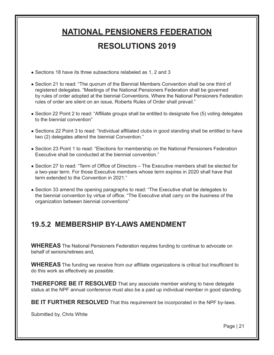• Sections 18 have its three subsections relabeled as 1, 2 and 3

- Section 21 to read: "The quorum of the Biennial Members Convention shall be one third of registered delegates. "Meetings of the National Pensioners Federation shall be governed by rules of order adopted at the biennial Conventions. Where the National Pensioners Federation rules of order are silent on an issue, Roberts Rules of Order shall prevail."
- Section 22 Point 2 to read: "Affiliate groups shall be entitled to designate five (5) voting delegates to the biennial convention"
- Sections 22 Point 3 to read: "Individual affiliated clubs in good standing shall be entitled to have two (2) delegates attend the biennial Convention."
- Section 23 Point 1 to read: "Elections for membership on the National Pensioners Federation Executive shall be conducted at the biennial convention."
- Section 27 to read: "Term of Office of Directors The Executive members shall be elected for a two-year term. For those Executive members whose term expires in 2020 shall have that term extended to the Convention in 2021."
- Section 33 amend the opening paragraphs to read: "The Executive shall be delegates to the biennial convention by virtue of office. "The Executive shall carry on the business of the organization between biennial conventions"

#### **19.5.2 MEMBERSHIP BY-LAWS AMENDMENT**

**WHEREAS** The National Pensioners Federation requires funding to continue to advocate on behalf of seniors/retirees and,

**WHEREAS** The funding we receive from our affiliate organizations is critical but insufficient to do this work as effectively as possible.

**THEREFORE BE IT RESOLVED** That any associate member wishing to have delegate status at the NPF annual conference must also be a paid up individual member in good standing.

**BE IT FURTHER RESOLVED** That this requirement be incorporated in the NPF by-laws.

Submitted by, Chris White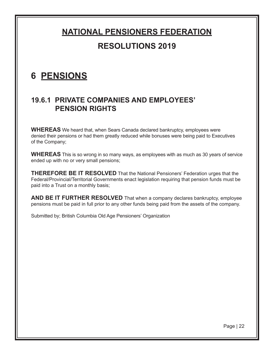### **6 PENSIONS**

#### **19.6.1 PRIVATE COMPANIES AND EMPLOYEES' PENSION RIGHTS**

**WHEREAS** We heard that, when Sears Canada declared bankruptcy, employees were denied their pensions or had them greatly reduced while bonuses were being paid to Executives of the Company;

**WHEREAS** This is so wrong in so many ways, as employees with as much as 30 years of service ended up with no or very small pensions;

**THEREFORE BE IT RESOLVED** That the National Pensioners' Federation urges that the Federal/Provincial/Territorial Governments enact legislation requiring that pension funds must be paid into a Trust on a monthly basis;

**AND BE IT FURTHER RESOLVED** That when a company declares bankruptcy, employee pensions must be paid in full prior to any other funds being paid from the assets of the company.

Submitted by; British Columbia Old Age Pensioners' Organization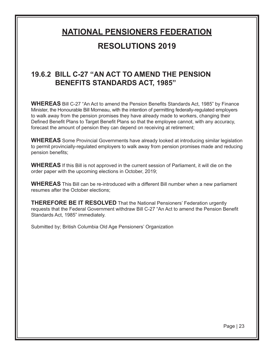#### **19.6.2 BILL C-27 "AN ACT TO AMEND THE PENSION BENEFITS STANDARDS ACT, 1985"**

**WHEREAS** Bill C-27 "An Act to amend the Pension Benefits Standards Act, 1985" by Finance Minister, the Honourable Bill Morneau, with the intention of permitting federally-regulated employers to walk away from the pension promises they have already made to workers, changing their Defined Benefit Plans to Target Benefit Plans so that the employee cannot, with any accuracy, forecast the amount of pension they can depend on receiving at retirement;

**WHEREAS** Some Provincial Governments have already looked at introducing similar legislation to permit provincially-regulated employers to walk away from pension promises made and reducing pension benefits;

**WHEREAS** If this Bill is not approved in the current session of Parliament, it will die on the order paper with the upcoming elections in October, 2019;

**WHEREAS** This Bill can be re-introduced with a different Bill number when a new parliament resumes after the October elections;

**THEREFORE BE IT RESOLVED** That the National Pensioners' Federation urgently requests that the Federal Government withdraw Bill C-27 "An Act to amend the Pension Benefit Standards Act, 1985" immediately.

Submitted by; British Columbia Old Age Pensioners' Organization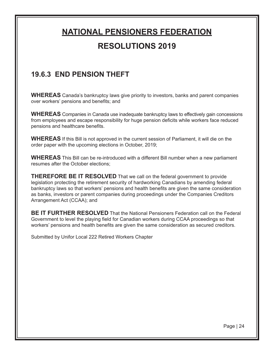#### **19.6.3 END PENSION THEFT**

**WHEREAS** Canada's bankruptcy laws give priority to investors, banks and parent companies over workers' pensions and benefits; and

**WHEREAS** Companies in Canada use inadequate bankruptcy laws to effectively gain concessions from employees and escape responsibility for huge pension deficits while workers face reduced pensions and healthcare benefits.

**WHEREAS** If this Bill is not approved in the current session of Parliament, it will die on the order paper with the upcoming elections in October, 2019;

**WHEREAS** This Bill can be re-introduced with a different Bill number when a new parliament resumes after the October elections;

**THEREFORE BE IT RESOLVED** That we call on the federal government to provide legislation protecting the retirement security of hardworking Canadians by amending federal bankruptcy laws so that workers' pensions and health benefits are given the same consideration as banks, investors or parent companies during proceedings under the Companies Creditors Arrangement Act (CCAA); and

**BE IT FURTHER RESOLVED** That the National Pensioners Federation call on the Federal Government to level the playing field for Canadian workers during CCAA proceedings so that workers' pensions and health benefits are given the same consideration as secured creditors.

Submitted by Unifor Local 222 Retired Workers Chapter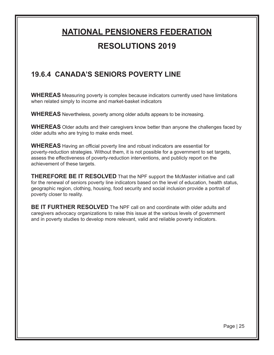#### **19.6.4 CANADA'S SENIORS POVERTY LINE**

**WHEREAS** Measuring poverty is complex because indicators currently used have limitations when related simply to income and market-basket indicators

**WHEREAS** Nevertheless, poverty among older adults appears to be increasing.

**WHEREAS** Older adults and their caregivers know better than anyone the challenges faced by older adults who are trying to make ends meet.

**WHEREAS** Having an official poverty line and robust indicators are essential for poverty-reduction strategies. Without them, it is not possible for a government to set targets, assess the effectiveness of poverty-reduction interventions, and publicly report on the achievement of these targets.

**THEREFORE BE IT RESOLVED** That the NPF support the McMaster initiative and call for the renewal of seniors poverty line indicators based on the level of education, health status, geographic region, clothing, housing, food security and social inclusion provide a portrait of poverty closer to reality.

**BE IT FURTHER RESOLVED** The NPF call on and coordinate with older adults and caregivers advocacy organizations to raise this issue at the various levels of government and in poverty studies to develop more relevant, valid and reliable poverty indicators.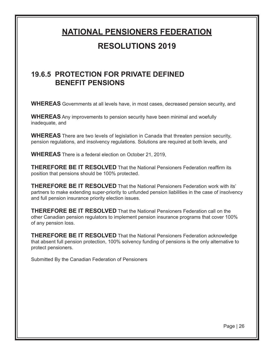# **NATIONAL PENSIONERS FEDERATION**

#### **RESOLUTIONS 2019**

#### **19.6.5 PROTECTION FOR PRIVATE DEFINED BENEFIT PENSIONS**

**WHEREAS** Governments at all levels have, in most cases, decreased pension security, and

**WHEREAS** Any improvements to pension security have been minimal and woefully inadequate, and

**WHEREAS** There are two levels of legislation in Canada that threaten pension security, pension regulations, and insolvency regulations. Solutions are required at both levels, and

**WHEREAS** There is a federal election on October 21, 2019,

**THEREFORE BE IT RESOLVED** That the National Pensioners Federation reaffirm its position that pensions should be 100% protected.

**THEREFORE BE IT RESOLVED** That the National Pensioners Federation work with its' partners to make extending super-priority to unfunded pension liabilities in the case of insolvency and full pension insurance priority election issues.

**THEREFORE BE IT RESOLVED** That the National Pensioners Federation call on the other Canadian pension regulators to implement pension insurance programs that cover 100% of any pension loss.

**THEREFORE BE IT RESOLVED** That the National Pensioners Federation acknowledge that absent full pension protection, 100% solvency funding of pensions is the only alternative to protect pensioners.

Submitted By the Canadian Federation of Pensioners